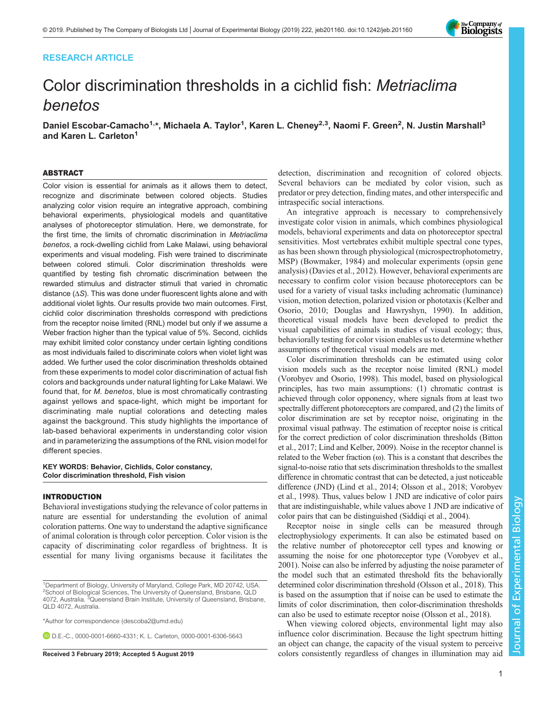# RESEARCH ARTICLE



# Color discrimination thresholds in a cichlid fish: Metriaclima benetos

Daniel Escobar-Camacho<sup>1,</sup>\*, Michaela A. Taylor<sup>1</sup>, Karen L. Cheney<sup>2,3</sup>, Naomi F. Green<sup>2</sup>, N. Justin Marshall<sup>3</sup> and Karen L. Carleton<sup>1</sup>

# ABSTRACT

Color vision is essential for animals as it allows them to detect, recognize and discriminate between colored objects. Studies analyzing color vision require an integrative approach, combining behavioral experiments, physiological models and quantitative analyses of photoreceptor stimulation. Here, we demonstrate, for the first time, the limits of chromatic discrimination in Metriaclima benetos, a rock-dwelling cichlid from Lake Malawi, using behavioral experiments and visual modeling. Fish were trained to discriminate between colored stimuli. Color discrimination thresholds were quantified by testing fish chromatic discrimination between the rewarded stimulus and distracter stimuli that varied in chromatic distance (ΔS). This was done under fluorescent lights alone and with additional violet lights. Our results provide two main outcomes. First, cichlid color discrimination thresholds correspond with predictions from the receptor noise limited (RNL) model but only if we assume a Weber fraction higher than the typical value of 5%. Second, cichlids may exhibit limited color constancy under certain lighting conditions as most individuals failed to discriminate colors when violet light was added. We further used the color discrimination thresholds obtained from these experiments to model color discrimination of actual fish colors and backgrounds under natural lighting for Lake Malawi. We found that, for M. benetos, blue is most chromatically contrasting against yellows and space-light, which might be important for discriminating male nuptial colorations and detecting males against the background. This study highlights the importance of lab-based behavioral experiments in understanding color vision and in parameterizing the assumptions of the RNL vision model for different species.

KEY WORDS: Behavior, Cichlids, Color constancy, Color discrimination threshold, Fish vision

# INTRODUCTION

Behavioral investigations studying the relevance of color patterns in nature are essential for understanding the evolution of animal coloration patterns. One way to understand the adaptive significance of animal coloration is through color perception. Color vision is the capacity of discriminating color regardless of brightness. It is essential for many living organisms because it facilitates the

\*Author for correspondence [\(descoba2@umd.edu\)](mailto:descoba2@umd.edu)

D.E.-C., [0000-0001-6660-4331](http://orcid.org/0000-0001-6660-4331); K. L. Carleton, [0000-0001-6306-5643](http://orcid.org/0000-0001-6306-5643)

detection, discrimination and recognition of colored objects. Several behaviors can be mediated by color vision, such as predator or prey detection, finding mates, and other interspecific and intraspecific social interactions.

An integrative approach is necessary to comprehensively investigate color vision in animals, which combines physiological models, behavioral experiments and data on photoreceptor spectral sensitivities. Most vertebrates exhibit multiple spectral cone types, as has been shown through physiological (microspectrophotometry, MSP) [\(Bowmaker, 1984](#page-9-0)) and molecular experiments (opsin gene analysis) [\(Davies et al., 2012\)](#page-9-0). However, behavioral experiments are necessary to confirm color vision because photoreceptors can be used for a variety of visual tasks including achromatic (luminance) vision, motion detection, polarized vision or phototaxis ([Kelber and](#page-10-0) [Osorio, 2010;](#page-10-0) [Douglas and Hawryshyn, 1990](#page-9-0)). In addition, theoretical visual models have been developed to predict the visual capabilities of animals in studies of visual ecology; thus, behaviorally testing for color vision enables us to determine whether assumptions of theoretical visual models are met.

Color discrimination thresholds can be estimated using color vision models such as the receptor noise limited (RNL) model [\(Vorobyev and Osorio, 1998\)](#page-10-0). This model, based on physiological principles, has two main assumptions: (1) chromatic contrast is achieved through color opponency, where signals from at least two spectrally different photoreceptors are compared, and (2) the limits of color discrimination are set by receptor noise, originating in the proximal visual pathway. The estimation of receptor noise is critical for the correct prediction of color discrimination thresholds ([Bitton](#page-9-0) [et al., 2017;](#page-9-0) [Lind and Kelber, 2009](#page-10-0)). Noise in the receptor channel is related to the Weber fraction  $(\omega)$ . This is a constant that describes the signal-to-noise ratio that sets discrimination thresholds to the smallest difference in chromatic contrast that can be detected, a just noticeable difference (JND) [\(Lind et al., 2014; Olsson et al., 2018; Vorobyev](#page-10-0) [et al., 1998](#page-10-0)). Thus, values below 1 JND are indicative of color pairs that are indistinguishable, while values above 1 JND are indicative of color pairs that can be distinguished [\(Siddiqi et al., 2004](#page-10-0)).

Receptor noise in single cells can be measured through electrophysiology experiments. It can also be estimated based on the relative number of photoreceptor cell types and knowing or assuming the noise for one photoreceptor type [\(Vorobyev et al.,](#page-10-0) [2001\)](#page-10-0). Noise can also be inferred by adjusting the noise parameter of the model such that an estimated threshold fits the behaviorally determined color discrimination threshold [\(Olsson et al., 2018](#page-10-0)). This is based on the assumption that if noise can be used to estimate the limits of color discrimination, then color-discrimination thresholds can also be used to estimate receptor noise [\(Olsson et al., 2018\)](#page-10-0).

When viewing colored objects, environmental light may also influence color discrimination. Because the light spectrum hitting an object can change, the capacity of the visual system to perceive Received 3 February 2019; Accepted 5 August 2019 colors consistently regardless of changes in illumination may aid

<sup>&</sup>lt;sup>1</sup>Department of Biology, University of Maryland, College Park, MD 20742, USA. <sup>2</sup>School of Biological Sciences, The University of Queensland, Brisbane, QLD 4072, Australia. <sup>3</sup>Queensland Brain Institute, University of Queensland, Brisbane, QLD 4072, Australia.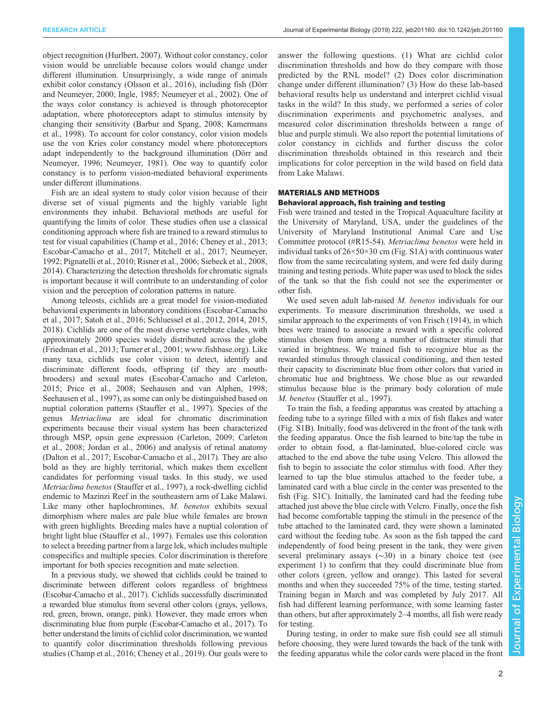object recognition [\(Hurlbert, 2007\)](#page-10-0). Without color constancy, color vision would be unreliable because colors would change under different illumination. Unsurprisingly, a wide range of animals exhibit color constancy ([Olsson et al., 2016](#page-10-0)), including fish [\(Dörr](#page-9-0) [and Neumeyer, 2000](#page-9-0); [Ingle, 1985](#page-10-0); [Neumeyer et al., 2002](#page-10-0)). One of the ways color constancy is achieved is through photoreceptor adaptation, where photoreceptors adapt to stimulus intensity by changing their sensitivity ([Barbur and Spang, 2008](#page-9-0); [Kamermans](#page-10-0) [et al., 1998](#page-10-0)). To account for color constancy, color vision models use the von Kries color constancy model where photoreceptors adapt independently to the background illumination ([Dörr and](#page-9-0) [Neumeyer, 1996;](#page-9-0) [Neumeyer, 1981\)](#page-10-0). One way to quantify color constancy is to perform vision-mediated behavioral experiments under different illuminations.

Fish are an ideal system to study color vision because of their diverse set of visual pigments and the highly variable light environments they inhabit. Behavioral methods are useful for quantifying the limits of color. These studies often use a classical conditioning approach where fish are trained to a reward stimulus to test for visual capabilities ([Champ et al., 2016](#page-9-0); [Cheney et al., 2013](#page-9-0); [Escobar-Camacho et al., 2017; Mitchell et al., 2017](#page-10-0); [Neumeyer,](#page-10-0) [1992](#page-10-0); [Pignatelli et al., 2010; Risner et al., 2006](#page-10-0); [Siebeck et al., 2008,](#page-10-0) [2014](#page-10-0)). Characterizing the detection thresholds for chromatic signals is important because it will contribute to an understanding of color vision and the perception of coloration patterns in nature.

Among teleosts, cichlids are a great model for vision-mediated behavioral experiments in laboratory conditions [\(Escobar-Camacho](#page-10-0) [et al., 2017](#page-10-0); [Satoh et al., 2016; Schluessel et al., 2012, 2014, 2015,](#page-10-0) [2018](#page-10-0)). Cichlids are one of the most diverse vertebrate clades, with approximately 2000 species widely distributed across the globe [\(Friedman et al., 2013](#page-10-0); [Turner et al., 2001;](#page-10-0) [www.fishbase.org\)](http://www.fishbase.org). Like many taxa, cichlids use color vision to detect, identify and discriminate different foods, offspring (if they are mouthbrooders) and sexual mates [\(Escobar-Camacho and Carleton,](#page-10-0) [2015](#page-10-0); [Price et al., 2008](#page-10-0); [Seehausen and van Alphen, 1998](#page-10-0); [Seehausen et al., 1997\)](#page-10-0), as some can only be distinguished based on nuptial coloration patterns [\(Stauffer et al., 1997\)](#page-10-0). Species of the genus Metriaclima are ideal for chromatic discrimination experiments because their visual system has been characterized through MSP, opsin gene expression [\(Carleton, 2009](#page-9-0); [Carleton](#page-9-0) [et al., 2008](#page-9-0); [Jordan et al., 2006\)](#page-10-0) and analysis of retinal anatomy [\(Dalton et al., 2017;](#page-9-0) [Escobar-Camacho et al., 2017](#page-10-0)). They are also bold as they are highly territorial, which makes them excellent candidates for performing visual tasks. In this study, we used Metriaclima benetos ([Stauffer et al., 1997](#page-10-0)), a rock-dwelling cichlid endemic to Mazinzi Reef in the southeastern arm of Lake Malawi. Like many other haplochromines, M. benetos exhibits sexual dimorphism where males are pale blue while females are brown with green highlights. Breeding males have a nuptial coloration of bright light blue ([Stauffer et al., 1997](#page-10-0)). Females use this coloration to select a breeding partner from a large lek, which includes multiple conspecifics and multiple species. Color discrimination is therefore important for both species recognition and mate selection.

In a previous study, we showed that cichlids could be trained to discriminate between different colors regardless of brightness [\(Escobar-Camacho et al., 2017](#page-10-0)). Cichlids successfully discriminated a rewarded blue stimulus from several other colors (grays, yellows, red, green, brown, orange, pink). However, they made errors when discriminating blue from purple ([Escobar-Camacho et al., 2017\)](#page-10-0). To better understand the limits of cichlid color discrimination, we wanted to quantify color discrimination thresholds following previous studies [\(Champ et al., 2016; Cheney et al., 2019\)](#page-9-0). Our goals were to

answer the following questions. (1) What are cichlid color discrimination thresholds and how do they compare with those predicted by the RNL model? (2) Does color discrimination change under different illumination? (3) How do these lab-based behavioral results help us understand and interpret cichlid visual tasks in the wild? In this study, we performed a series of color discrimination experiments and psychometric analyses, and measured color discrimination thresholds between a range of blue and purple stimuli. We also report the potential limitations of color constancy in cichlids and further discuss the color discrimination thresholds obtained in this research and their implications for color perception in the wild based on field data from Lake Malawi.

# MATERIALS AND METHODS

# Behavioral approach, fish training and testing

Fish were trained and tested in the Tropical Aquaculture facility at the University of Maryland, USA, under the guidelines of the University of Maryland Institutional Animal Care and Use Committee protocol (#R15-54). Metriaclima benetos were held in individual tanks of 26×50×30 cm [\(Fig. S1A](http://jeb.biologists.org/lookup/doi/10.1242/jeb.201160.supplemental)) with continuous water flow from the same recirculating system, and were fed daily during training and testing periods. White paper was used to block the sides of the tank so that the fish could not see the experimenter or other fish.

We used seven adult lab-raised *M. benetos* individuals for our experiments. To measure discrimination thresholds, we used a similar approach to the experiments of von Frisch (1914), in which bees were trained to associate a reward with a specific colored stimulus chosen from among a number of distracter stimuli that varied in brightness. We trained fish to recognize blue as the rewarded stimulus through classical conditioning, and then tested their capacity to discriminate blue from other colors that varied in chromatic hue and brightness. We chose blue as our rewarded stimulus because blue is the primary body coloration of male M. benetos [\(Stauffer et al., 1997\)](#page-10-0).

To train the fish, a feeding apparatus was created by attaching a feeding tube to a syringe filled with a mix of fish flakes and water [\(Fig. S1B](http://jeb.biologists.org/lookup/doi/10.1242/jeb.201160.supplemental)). Initially, food was delivered in the front of the tank with the feeding apparatus. Once the fish learned to bite/tap the tube in order to obtain food, a flat-laminated, blue-colored circle was attached to the end above the tube using Velcro. This allowed the fish to begin to associate the color stimulus with food. After they learned to tap the blue stimulus attached to the feeder tube, a laminated card with a blue circle in the center was presented to the fish [\(Fig. S1C\)](http://jeb.biologists.org/lookup/doi/10.1242/jeb.201160.supplemental). Initially, the laminated card had the feeding tube attached just above the blue circle with Velcro. Finally, once the fish had become comfortable tapping the stimuli in the presence of the tube attached to the laminated card, they were shown a laminated card without the feeding tube. As soon as the fish tapped the card independently of food being present in the tank, they were given several preliminary assays (∼30) in a binary choice test (see experiment 1) to confirm that they could discriminate blue from other colors (green, yellow and orange). This lasted for several months and when they succeeded 75% of the time, testing started. Training began in March and was completed by July 2017. All fish had different learning performance, with some learning faster than others, but after approximately 2–4 months, all fish were ready for testing.

During testing, in order to make sure fish could see all stimuli before choosing, they were lured towards the back of the tank with the feeding apparatus while the color cards were placed in the front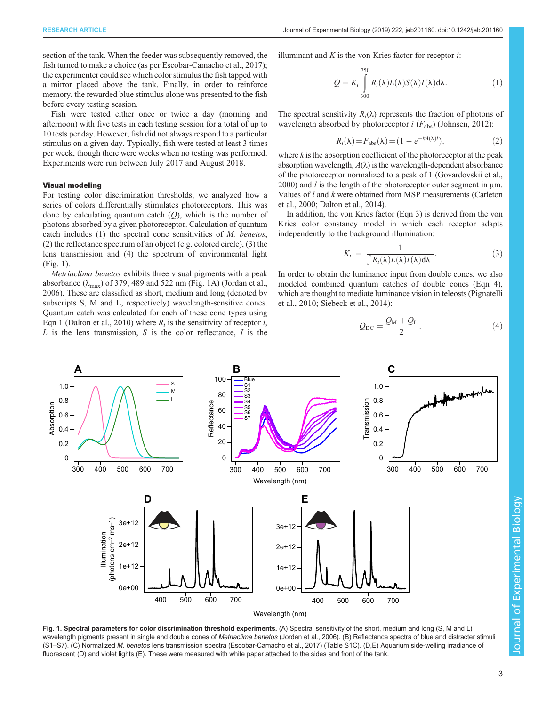<span id="page-2-0"></span>section of the tank. When the feeder was subsequently removed, the fish turned to make a choice (as per [Escobar-Camacho et al., 2017](#page-10-0)); the experimenter could see which color stimulus the fish tapped with a mirror placed above the tank. Finally, in order to reinforce memory, the rewarded blue stimulus alone was presented to the fish before every testing session.

Fish were tested either once or twice a day (morning and afternoon) with five tests in each testing session for a total of up to 10 tests per day. However, fish did not always respond to a particular stimulus on a given day. Typically, fish were tested at least 3 times per week, though there were weeks when no testing was performed. Experiments were run between July 2017 and August 2018.

# Visual modeling

For testing color discrimination thresholds, we analyzed how a series of colors differentially stimulates photoreceptors. This was done by calculating quantum catch  $(Q)$ , which is the number of photons absorbed by a given photoreceptor. Calculation of quantum catch includes (1) the spectral cone sensitivities of M. benetos, (2) the reflectance spectrum of an object (e.g. colored circle), (3) the lens transmission and (4) the spectrum of environmental light (Fig. 1).

Metriaclima benetos exhibits three visual pigments with a peak absorbance  $(\lambda_{\text{max}})$  of 379, 489 and 522 nm (Fig. 1A) ([Jordan et al.,](#page-10-0) [2006](#page-10-0)). These are classified as short, medium and long (denoted by subscripts S, M and L, respectively) wavelength-sensitive cones. Quantum catch was calculated for each of these cone types using Eqn 1 [\(Dalton et al., 2010\)](#page-9-0) where  $R_i$  is the sensitivity of receptor i,  $L$  is the lens transmission,  $S$  is the color reflectance,  $I$  is the illuminant and  $K$  is the von Kries factor for receptor  $i$ :

$$
Q = K_i \int_{300}^{750} R_i(\lambda) L(\lambda) S(\lambda) I(\lambda) d\lambda.
$$
 (1)

The spectral sensitivity  $R_i(\lambda)$  represents the fraction of photons of wavelength absorbed by photoreceptor  $i$  ( $F_{\text{abs}}$ ) ([Johnsen, 2012\)](#page-10-0):

$$
R_i(\lambda) = F_{\text{abs}}(\lambda) = (1 - e^{-kA(\lambda)l}), \qquad (2)
$$

where  $k$  is the absorption coefficient of the photoreceptor at the peak absorption wavelength,  $A(\lambda)$  is the wavelength-dependent absorbance of the photoreceptor normalized to a peak of 1 [\(Govardovskii et al.,](#page-10-0) [2000\)](#page-10-0) and  $l$  is the length of the photoreceptor outer segment in  $\mu$ m. Values of  $l$  and  $k$  were obtained from MSP measurements [\(Carleton](#page-9-0) [et al., 2000; Dalton et al., 2014](#page-9-0)).

In addition, the von Kries factor (Eqn 3) is derived from the von Kries color constancy model in which each receptor adapts independently to the background illumination:

$$
K_i = \frac{1}{\int R_i(\lambda)L(\lambda)I(\lambda)d\lambda}.
$$
 (3)

In order to obtain the luminance input from double cones, we also modeled combined quantum catches of double cones (Eqn 4), which are thought to mediate luminance vision in teleosts [\(Pignatelli](#page-10-0) [et al., 2010; Siebeck et al., 2014\)](#page-10-0):

$$
Q_{\rm DC} = \frac{Q_{\rm M} + Q_{\rm L}}{2}.\tag{4}
$$



Fig. 1. Spectral parameters for color discrimination threshold experiments. (A) Spectral sensitivity of the short, medium and long (S, M and L) wavelength pigments present in single and double cones of Metriaclima benetos ([Jordan et al., 2006\)](#page-10-0). (B) Reflectance spectra of blue and distracter stimuli (S1–S7). (C) Normalized M. benetos lens transmission spectra ([Escobar-Camacho et al., 2017\)](#page-10-0) ([Table S1C\)](http://jeb.biologists.org/lookup/doi/10.1242/jeb.201160.supplemental). (D,E) Aquarium side-welling irradiance of fluorescent (D) and violet lights (E). These were measured with white paper attached to the sides and front of the tank.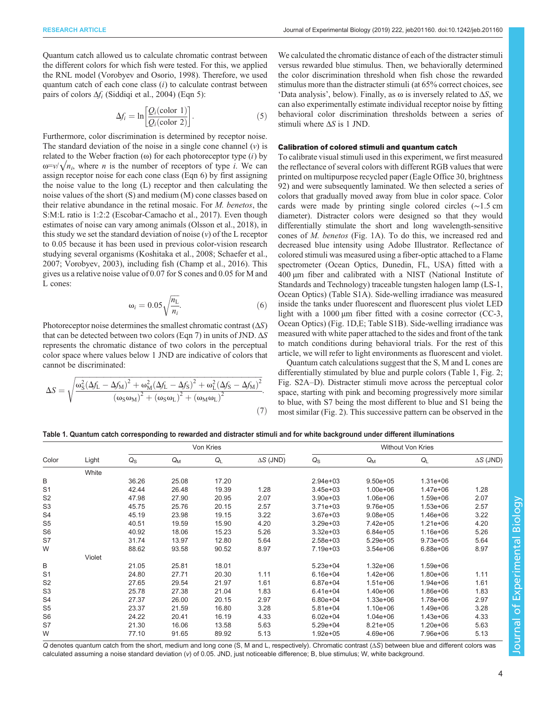<span id="page-3-0"></span>Quantum catch allowed us to calculate chromatic contrast between the different colors for which fish were tested. For this, we applied the RNL model [\(Vorobyev and Osorio, 1998](#page-10-0)). Therefore, we used quantum catch of each cone class  $(i)$  to calculate contrast between pairs of colors  $\Delta f_i$  [\(Siddiqi et al., 2004\)](#page-10-0) (Eqn 5):

$$
\Delta f_i = \ln \left[ \frac{Q_i(\text{color 1})}{Q_i(\text{color 2})} \right]. \tag{5}
$$

Furthermore, color discrimination is determined by receptor noise. The standard deviation of the noise in a single cone channel  $(v)$  is related to the Weber fraction  $(\omega)$  for each photoreceptor type  $(i)$  by  $\omega = v/\sqrt{n_i}$ , where *n* is the number of receptors of type *i*. We can assign receptor noise for each cone class (Eqn 6) by first assigning the noise value to the long (L) receptor and then calculating the noise values of the short (S) and medium (M) cone classes based on their relative abundance in the retinal mosaic. For M. benetos, the S:M:L ratio is 1:2:2 [\(Escobar-Camacho et al., 2017](#page-10-0)). Even though estimates of noise can vary among animals [\(Olsson et al., 2018\)](#page-10-0), in this study we set the standard deviation of noise  $(v)$  of the L receptor to 0.05 because it has been used in previous color-vision research studying several organisms ([Koshitaka et al., 2008](#page-10-0); [Schaefer et al.,](#page-10-0) [2007](#page-10-0); [Vorobyev, 2003](#page-10-0)), including fish [\(Champ et al., 2016\)](#page-9-0). This gives us a relative noise value of 0.07 for S cones and 0.05 for M and L cones:

$$
\omega_i = 0.05 \sqrt{\frac{n_{\rm L}}{n_i}}.\tag{6}
$$

Photoreceptor noise determines the smallest chromatic contrast  $(\Delta S)$ that can be detected between two colors (Eqn 7) in units of JND.  $\Delta S$ represents the chromatic distance of two colors in the perceptual color space where values below 1 JND are indicative of colors that cannot be discriminated:

$$
\Delta S = \sqrt{\frac{\omega_S^2 (\Delta f_L - \Delta f_M)^2 + \omega_M^2 (\Delta f_L - \Delta f_S)^2 + \omega_L^2 (\Delta f_S - \Delta f_M)^2}{(\omega_S \omega_M)^2 + (\omega_S \omega_L)^2 + (\omega_M \omega_L)^2}}.
$$
\n(7)

We calculated the chromatic distance of each of the distracter stimuli versus rewarded blue stimulus. Then, we behaviorally determined the color discrimination threshold when fish chose the rewarded stimulus more than the distracter stimuli (at 65% correct choices, see 'Data analysis', below). Finally, as  $\omega$  is inversely related to  $\Delta S$ , we can also experimentally estimate individual receptor noise by fitting behavioral color discrimination thresholds between a series of stimuli where  $\Delta S$  is 1 JND.

## Calibration of colored stimuli and quantum catch

To calibrate visual stimuli used in this experiment, we first measured the reflectance of several colors with different RGB values that were printed on multipurpose recycled paper (Eagle Office 30, brightness 92) and were subsequently laminated. We then selected a series of colors that gradually moved away from blue in color space. Color cards were made by printing single colored circles (∼1.5 cm diameter). Distracter colors were designed so that they would differentially stimulate the short and long wavelength-sensitive cones of M. benetos [\(Fig. 1](#page-2-0)A). To do this, we increased red and decreased blue intensity using Adobe Illustrator. Reflectance of colored stimuli was measured using a fiber-optic attached to a Flame spectrometer (Ocean Optics, Dunedin, FL, USA) fitted with a 400 µm fiber and calibrated with a NIST (National Institute of Standards and Technology) traceable tungsten halogen lamp (LS-1, Ocean Optics) [\(Table S1A\)](http://jeb.biologists.org/lookup/doi/10.1242/jeb.201160.supplemental). Side-welling irradiance was measured inside the tanks under fluorescent and fluorescent plus violet LED light with a 1000 µm fiber fitted with a cosine corrector (CC-3, Ocean Optics) [\(Fig. 1](#page-2-0)D,E; [Table S1B\)](http://jeb.biologists.org/lookup/doi/10.1242/jeb.201160.supplemental). Side-welling irradiance was measured with white paper attached to the sides and front of the tank to match conditions during behavioral trials. For the rest of this article, we will refer to light environments as fluorescent and violet.

Quantum catch calculations suggest that the S, M and L cones are differentially stimulated by blue and purple colors (Table 1, [Fig. 2](#page-4-0); [Fig. S2A](http://jeb.biologists.org/lookup/doi/10.1242/jeb.201160.supplemental)–D). Distracter stimuli move across the perceptual color space, starting with pink and becoming progressively more similar to blue, with S7 being the most different to blue and S1 being the most similar [\(Fig. 2](#page-4-0)). This successive pattern can be observed in the

Table 1. Quantum catch corresponding to rewarded and distracter stimuli and for white background under different illuminations

| Color          | Light  | Von Kries   |                  |       |                  | <b>Without Von Kries</b> |              |              |                  |
|----------------|--------|-------------|------------------|-------|------------------|--------------------------|--------------|--------------|------------------|
|                |        | $Q_{\rm S}$ | $Q_{\mathsf{M}}$ | $Q_L$ | $\Delta S$ (JND) | $Q_{\rm S}$              | $Q_{\rm M}$  | $Q_L$        | $\Delta S$ (JND) |
|                | White  |             |                  |       |                  |                          |              |              |                  |
| B              |        | 36.26       | 25.08            | 17.20 |                  | $2.94e+03$               | $9.50e + 05$ | $1.31e + 06$ |                  |
| S <sub>1</sub> |        | 42.44       | 26.48            | 19.39 | 1.28             | $3.45e + 03$             | $1.00e + 06$ | $1.47e + 06$ | 1.28             |
| S <sub>2</sub> |        | 47.98       | 27.90            | 20.95 | 2.07             | $3.90e + 03$             | $1.06e + 06$ | $1.59e + 06$ | 2.07             |
| S <sub>3</sub> |        | 45.75       | 25.76            | 20.15 | 2.57             | $3.71e + 03$             | $9.76e + 05$ | $1.53e + 06$ | 2.57             |
| S4             |        | 45.19       | 23.98            | 19.15 | 3.22             | $3.67e + 03$             | $9.08e + 05$ | $1.46e + 06$ | 3.22             |
| S <sub>5</sub> |        | 40.51       | 19.59            | 15.90 | 4.20             | $3.29e + 03$             | 7.42e+05     | $1.21e + 06$ | 4.20             |
| S <sub>6</sub> |        | 40.92       | 18.06            | 15.23 | 5.26             | $3.32e + 03$             | $6.84e + 05$ | $1.16e + 06$ | 5.26             |
| S7             |        | 31.74       | 13.97            | 12.80 | 5.64             | $2.58e + 03$             | $5.29e + 05$ | $9.73e + 05$ | 5.64             |
| W              |        | 88.62       | 93.58            | 90.52 | 8.97             | $7.19e + 03$             | $3.54e + 06$ | $6.88e + 06$ | 8.97             |
|                | Violet |             |                  |       |                  |                          |              |              |                  |
| B              |        | 21.05       | 25.81            | 18.01 |                  | $5.23e+04$               | $1.32e + 06$ | $1.59e + 06$ |                  |
| S <sub>1</sub> |        | 24.80       | 27.71            | 20.30 | 1.11             | $6.16e + 04$             | $1.42e + 06$ | $1.80e + 06$ | 1.11             |
| S <sub>2</sub> |        | 27.65       | 29.54            | 21.97 | 1.61             | $6.87e + 04$             | $1.51e + 06$ | $1.94e + 06$ | 1.61             |
| S <sub>3</sub> |        | 25.78       | 27.38            | 21.04 | 1.83             | $6.41e+04$               | $1.40e + 06$ | $1.86e + 06$ | 1.83             |
| S4             |        | 27.37       | 26.00            | 20.15 | 2.97             | $6.80e + 04$             | $1.33e + 06$ | $1.78e + 06$ | 2.97             |
| S <sub>5</sub> |        | 23.37       | 21.59            | 16.80 | 3.28             | $5.81e+04$               | $1.10e + 06$ | $1.49e + 06$ | 3.28             |
| S <sub>6</sub> |        | 24.22       | 20.41            | 16.19 | 4.33             | $6.02e + 04$             | $1.04e + 06$ | $1.43e + 06$ | 4.33             |
| S7             |        | 21.30       | 16.06            | 13.58 | 5.63             | $5.29e + 04$             | $8.21e + 05$ | $1.20e + 06$ | 5.63             |
| W              |        | 77.10       | 91.65            | 89.92 | 5.13             | $1.92e + 05$             | $4.69e + 06$ | 7.96e+06     | 5.13             |

Q denotes quantum catch from the short, medium and long cone (S, M and L, respectively). Chromatic contrast (ΔS) between blue and different colors was calculated assuming a noise standard deviation (v) of 0.05. JND, just noticeable difference; B, blue stimulus; W, white background.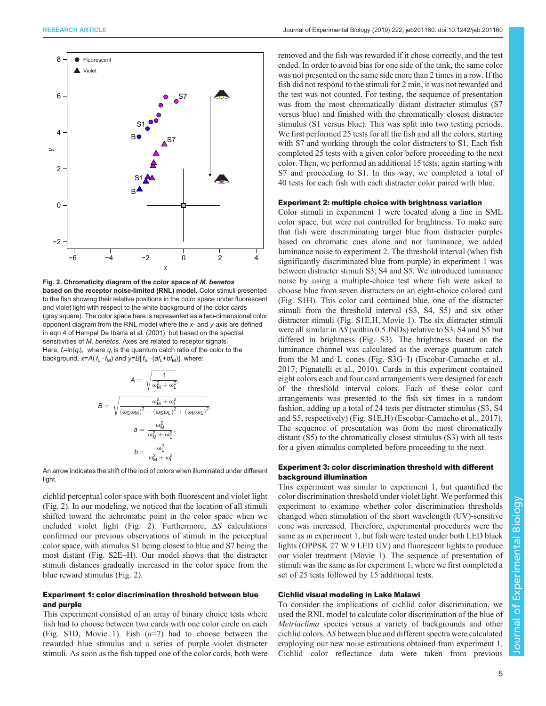<span id="page-4-0"></span>

Fig. 2. Chromaticity diagram of the color space of M. benetos based on the receptor noise-limited (RNL) model. Color stimuli presented to the fish showing their relative positions in the color space under fluorescent and violet light with respect to the white background of the color cards (gray square). The color space here is represented as a two-dimensional color opponent diagram from the RNL model where the x- and y-axis are defined in eqn 4 of [Hempel De Ibarra et al. \(2001\)](#page-10-0), but based on the spectral sensitivities of M. benetos. Axes are related to receptor signals. Here,  $f_i = \ln(q_i)$ , where  $q_i$  is the quantum catch ratio of the color to the background,  $x=A(f_L-f_M)$  and  $y=B[f_S-(af_L+bf_M)]$ , where:

$$
A = \sqrt{\frac{1}{\omega_M^2 + \omega_L^2}},
$$
  

$$
B = \sqrt{\frac{\omega_M^2 + \omega_L^2}{(\omega_S \omega_M)^2 + (\omega_S \omega_L)^2 + (\omega_M \omega_L)^2}},
$$
  

$$
a = \frac{\omega_M^2}{\omega_M^2 + \omega_L^2},
$$
  

$$
b = \frac{\omega_L^2}{\omega_M^2 + \omega_L^2}.
$$

An arrow indicates the shift of the loci of colors when illuminated under different light.

cichlid perceptual color space with both fluorescent and violet light (Fig. 2). In our modeling, we noticed that the location of all stimuli shifted toward the achromatic point in the color space when we included violet light (Fig. 2). Furthermore, ΔS calculations confirmed our previous observations of stimuli in the perceptual color space, with stimulus S1 being closest to blue and S7 being the most distant ([Fig. S2E](http://jeb.biologists.org/lookup/doi/10.1242/jeb.201160.supplemental)–H). Our model shows that the distracter stimuli distances gradually increased in the color space from the blue reward stimulus (Fig. 2).

# Experiment 1: color discrimination threshold between blue and purple

This experiment consisted of an array of binary choice tests where fish had to choose between two cards with one color circle on each [\(Fig. S1D](http://jeb.biologists.org/lookup/doi/10.1242/jeb.201160.supplemental), [Movie 1](http://movie.biologists.com/video/10.1242/jeb.201160/video-1)). Fish  $(n=7)$  had to choose between the rewarded blue stimulus and a series of purple–violet distracter stimuli. As soon as the fish tapped one of the color cards, both were removed and the fish was rewarded if it chose correctly, and the test ended. In order to avoid bias for one side of the tank, the same color was not presented on the same side more than 2 times in a row. If the fish did not respond to the stimuli for 2 min, it was not rewarded and the test was not counted. For testing, the sequence of presentation was from the most chromatically distant distracter stimulus (S7 versus blue) and finished with the chromatically closest distracter stimulus (S1 versus blue). This was split into two testing periods. We first performed 25 tests for all the fish and all the colors, starting with S7 and working through the color distracters to S1. Each fish completed 25 tests with a given color before proceeding to the next color. Then, we performed an additional 15 tests, again starting with S7 and proceeding to S1. In this way, we completed a total of 40 tests for each fish with each distracter color paired with blue.

## Experiment 2: multiple choice with brightness variation

Color stimuli in experiment 1 were located along a line in SML color space, but were not controlled for brightness. To make sure that fish were discriminating target blue from distracter purples based on chromatic cues alone and not luminance, we added luminance noise to experiment 2. The threshold interval (when fish significantly discriminated blue from purple) in experiment 1 was between distracter stimuli S3, S4 and S5. We introduced luminance noise by using a multiple-choice test where fish were asked to choose blue from seven distracters on an eight-choice colored card [\(Fig. S1H\)](http://jeb.biologists.org/lookup/doi/10.1242/jeb.201160.supplemental). This color card contained blue, one of the distracter stimuli from the threshold interval (S3, S4, S5) and six other distracter stimuli [\(Fig. S1E,H](http://jeb.biologists.org/lookup/doi/10.1242/jeb.201160.supplemental), [Movie 1](http://movie.biologists.com/video/10.1242/jeb.201160/video-1)). The six distracter stimuli were all similar in  $\Delta S$  (within 0.5 JNDs) relative to S3, S4 and S5 but differed in brightness [\(Fig. S3](http://jeb.biologists.org/lookup/doi/10.1242/jeb.201160.supplemental)). The brightness based on the luminance channel was calculated as the average quantum catch from the M and L cones [\(Fig. S3G](http://jeb.biologists.org/lookup/doi/10.1242/jeb.201160.supplemental)–I) [\(Escobar-Camacho et al.,](#page-10-0) [2017; Pignatelli et al., 2010](#page-10-0)). Cards in this experiment contained eight colors each and four card arrangements were designed for each of the threshold interval colors. Each of these color card arrangements was presented to the fish six times in a random fashion, adding up a total of 24 tests per distracter stimulus (S3, S4 and S5, respectively) ([Fig. S1E,H\)](http://jeb.biologists.org/lookup/doi/10.1242/jeb.201160.supplemental) [\(Escobar-Camacho et al., 2017\)](#page-10-0). The sequence of presentation was from the most chromatically distant (S5) to the chromatically closest stimulus (S3) with all tests for a given stimulus completed before proceeding to the next.

# Experiment 3: color discrimination threshold with different background illumination

This experiment was similar to experiment 1, but quantified the color discrimination threshold under violet light. We performed this experiment to examine whether color discrimination thresholds changed when stimulation of the short wavelength (UV)-sensitive cone was increased. Therefore, experimental procedures were the same as in experiment 1, but fish were tested under both LED black lights (OPPSK 27 W 9 LED UV) and fluorescent lights to produce our violet treatment ([Movie 1\)](http://movie.biologists.com/video/10.1242/jeb.201160/video-1). The sequence of presentation of stimuli was the same as for experiment 1, where we first completed a set of 25 tests followed by 15 additional tests.

# Cichlid visual modeling in Lake Malawi

To consider the implications of cichlid color discrimination, we used the RNL model to calculate color discrimination of the blue of Metriaclima species versus a variety of backgrounds and other cichlid colors. ΔS between blue and different spectra were calculated employing our new noise estimations obtained from experiment 1. Cichlid color reflectance data were taken from previous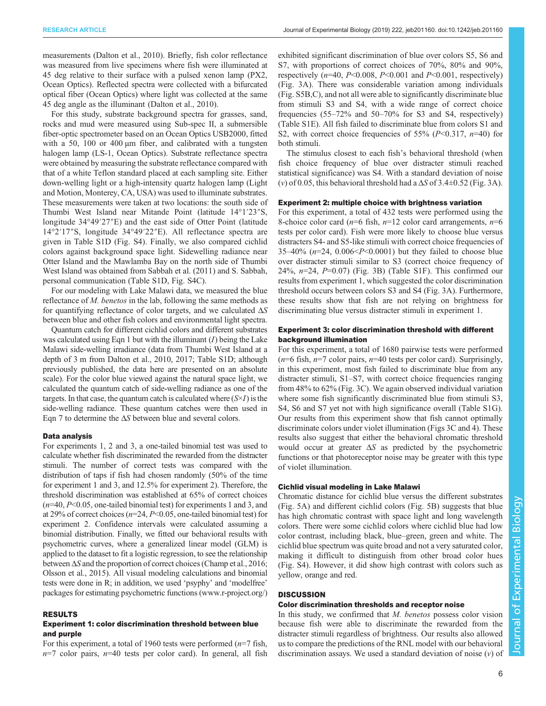measurements ([Dalton et al., 2010\)](#page-9-0). Briefly, fish color reflectance was measured from live specimens where fish were illuminated at 45 deg relative to their surface with a pulsed xenon lamp (PX2, Ocean Optics). Reflected spectra were collected with a bifurcated optical fiber (Ocean Optics) where light was collected at the same 45 deg angle as the illuminant ([Dalton et al., 2010\)](#page-9-0).

For this study, substrate background spectra for grasses, sand, rocks and mud were measured using Sub-spec II, a submersible fiber-optic spectrometer based on an Ocean Optics USB2000, fitted with a 50, 100 or 400  $\mu$ m fiber, and calibrated with a tungsten halogen lamp (LS-1, Ocean Optics). Substrate reflectance spectra were obtained by measuring the substrate reflectance compared with that of a white Teflon standard placed at each sampling site. Either down-welling light or a high-intensity quartz halogen lamp (Light and Motion, Monterey, CA, USA) was used to illuminate substrates. These measurements were taken at two locations: the south side of Thumbi West Island near Mitande Point (latitude 14°1′23″S, longitude 34°49′27″E) and the east side of Otter Point (latitude 14°2′17″S, longitude 34°49′22″E). All reflectance spectra are given in [Table S1D](http://jeb.biologists.org/lookup/doi/10.1242/jeb.201160.supplemental) [\(Fig. S4\)](http://jeb.biologists.org/lookup/doi/10.1242/jeb.201160.supplemental). Finally, we also compared cichlid colors against background space light. Sidewelling radiance near Otter Island and the Mawlamba Bay on the north side of Thumbi West Island was obtained from [Sabbah et al. \(2011\)](#page-10-0) and S. Sabbah, personal communication ([Table S1D](http://jeb.biologists.org/lookup/doi/10.1242/jeb.201160.supplemental), [Fig. S4C\)](http://jeb.biologists.org/lookup/doi/10.1242/jeb.201160.supplemental).

For our modeling with Lake Malawi data, we measured the blue reflectance of *M. benetos* in the lab, following the same methods as for quantifying reflectance of color targets, and we calculated  $\Delta S$ between blue and other fish colors and environmental light spectra.

Quantum catch for different cichlid colors and different substrates was calculated using Eqn 1 but with the illuminant  $(I)$  being the Lake Malawi side-welling irradiance (data from Thumbi West Island at a depth of 3 m from [Dalton et al., 2010, 2017;](#page-9-0) [Table S1D](http://jeb.biologists.org/lookup/doi/10.1242/jeb.201160.supplemental); although previously published, the data here are presented on an absolute scale). For the color blue viewed against the natural space light, we calculated the quantum catch of side-welling radiance as one of the targets. In that case, the quantum catch is calculated where  $(S\times I)$  is the side-welling radiance. These quantum catches were then used in Eqn 7 to determine the ΔS between blue and several colors.

# Data analysis

For experiments 1, 2 and 3, a one-tailed binomial test was used to calculate whether fish discriminated the rewarded from the distracter stimuli. The number of correct tests was compared with the distribution of taps if fish had chosen randomly (50% of the time for experiment 1 and 3, and 12.5% for experiment 2). Therefore, the threshold discrimination was established at 65% of correct choices  $(n=40, P<0.05,$  one-tailed binomial test) for experiments 1 and 3, and at 29% of correct choices ( $n=24$ ,  $P<0.05$ , one-tailed binomial test) for experiment 2. Confidence intervals were calculated assuming a binomial distribution. Finally, we fitted our behavioral results with psychometric curves, where a generalized linear model (GLM) is applied to the dataset to fit a logistic regression, to see the relationship between ΔS and the proportion of correct choices [\(Champ et al., 2016](#page-9-0); [Olsson et al., 2015\)](#page-10-0). All visual modeling calculations and binomial tests were done in R; in addition, we used 'psyphy' and 'modelfree' packages for estimating psychometric functions [\(www.r-project.org/\)](http://www.r-project.org/)

# RESULTS

# Experiment 1: color discrimination threshold between blue and purple

For this experiment, a total of 1960 tests were performed  $(n=7$  fish,  $n=7$  color pairs,  $n=40$  tests per color card). In general, all fish exhibited significant discrimination of blue over colors S5, S6 and S7, with proportions of correct choices of 70%, 80% and 90%, respectively  $(n=40, P<0.008, P<0.001$  and  $P<0.001$ , respectively) [\(Fig. 3](#page-6-0)A). There was considerable variation among individuals [\(Fig. S5B,C\)](http://jeb.biologists.org/lookup/doi/10.1242/jeb.201160.supplemental), and not all were able to significantly discriminate blue from stimuli S3 and S4, with a wide range of correct choice frequencies (55–72% and 50–70% for S3 and S4, respectively) [\(Table S1E](http://jeb.biologists.org/lookup/doi/10.1242/jeb.201160.supplemental)). All fish failed to discriminate blue from colors S1 and S2, with correct choice frequencies of 55% ( $P<0.317$ ,  $n=40$ ) for both stimuli.

The stimulus closest to each fish's behavioral threshold (when fish choice frequency of blue over distracter stimuli reached statistical significance) was S4. With a standard deviation of noise (v) of 0.05, this behavioral threshold had a  $\Delta S$  of 3.4 $\pm$ 0.52 [\(Fig. 3A](#page-6-0)).

# Experiment 2: multiple choice with brightness variation

For this experiment, a total of 432 tests were performed using the 8-choice color card ( $n=6$  fish,  $n=12$  color card arrangements,  $n=6$ tests per color card). Fish were more likely to choose blue versus distracters S4- and S5-like stimuli with correct choice frequencies of 35–40% ( $n=24$ , 0.006< $P<0.0001$ ) but they failed to choose blue over distracter stimuli similar to S3 (correct choice frequency of 24%,  $n=24$ ,  $P=0.07$ ) [\(Fig. 3B](#page-6-0)) ([Table S1F](http://jeb.biologists.org/lookup/doi/10.1242/jeb.201160.supplemental)). This confirmed our results from experiment 1, which suggested the color discrimination threshold occurs between colors S3 and S4 [\(Fig. 3](#page-6-0)A). Furthermore, these results show that fish are not relying on brightness for discriminating blue versus distracter stimuli in experiment 1.

# Experiment 3: color discrimination threshold with different background illumination

For this experiment, a total of 1680 pairwise tests were performed  $(n=6$  fish,  $n=7$  color pairs,  $n=40$  tests per color card). Surprisingly, in this experiment, most fish failed to discriminate blue from any distracter stimuli, S1–S7, with correct choice frequencies ranging from 48% to 62% ([Fig. 3](#page-6-0)C). We again observed individual variation where some fish significantly discriminated blue from stimuli S3, S4, S6 and S7 yet not with high significance overall ([Table S1G\)](http://jeb.biologists.org/lookup/doi/10.1242/jeb.201160.supplemental). Our results from this experiment show that fish cannot optimally discriminate colors under violet illumination ([Figs 3C](#page-6-0) and [4](#page-7-0)). These results also suggest that either the behavioral chromatic threshold would occur at greater  $\Delta S$  as predicted by the psychometric functions or that photoreceptor noise may be greater with this type of violet illumination.

# Cichlid visual modeling in Lake Malawi

Chromatic distance for cichlid blue versus the different substrates [\(Fig. 5A](#page-8-0)) and different cichlid colors ([Fig. 5B](#page-8-0)) suggests that blue has high chromatic contrast with space light and long wavelength colors. There were some cichlid colors where cichlid blue had low color contrast, including black, blue–green, green and white. The cichlid blue spectrum was quite broad and not a very saturated color, making it difficult to distinguish from other broad color hues [\(Fig. S4](http://jeb.biologists.org/lookup/doi/10.1242/jeb.201160.supplemental)). However, it did show high contrast with colors such as yellow, orange and red.

# **DISCUSSION**

# Color discrimination thresholds and receptor noise

In this study, we confirmed that *M. benetos* possess color vision because fish were able to discriminate the rewarded from the distracter stimuli regardless of brightness. Our results also allowed us to compare the predictions of the RNL model with our behavioral discrimination assays. We used a standard deviation of noise  $(v)$  of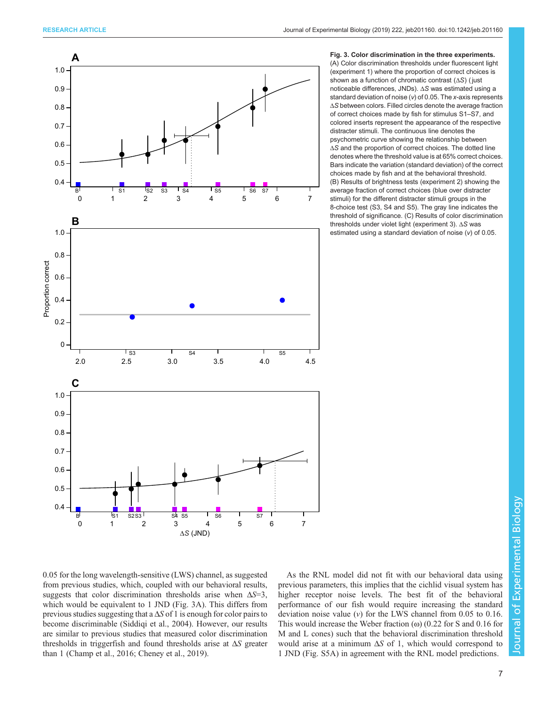<span id="page-6-0"></span>

Fig. 3. Color discrimination in the three experiments. (A) Color discrimination thresholds under fluorescent light (experiment 1) where the proportion of correct choices is shown as a function of chromatic contrast (ΔS) ( just noticeable differences, JNDs). ΔS was estimated using a standard deviation of noise  $(v)$  of 0.05. The x-axis represents ΔS between colors. Filled circles denote the average fraction of correct choices made by fish for stimulus S1–S7, and colored inserts represent the appearance of the respective distracter stimuli. The continuous line denotes the psychometric curve showing the relationship between ΔS and the proportion of correct choices. The dotted line denotes where the threshold value is at 65% correct choices. Bars indicate the variation (standard deviation) of the correct choices made by fish and at the behavioral threshold. (B) Results of brightness tests (experiment 2) showing the average fraction of correct choices (blue over distracter stimuli) for the different distracter stimuli groups in the 8-choice test (S3, S4 and S5). The gray line indicates the threshold of significance. (C) Results of color discrimination thresholds under violet light (experiment 3). ΔS was estimated using a standard deviation of noise (v) of 0.05.

0.05 for the long wavelength-sensitive (LWS) channel, as suggested from previous studies, which, coupled with our behavioral results, suggests that color discrimination thresholds arise when  $\Delta S=3$ , which would be equivalent to 1 JND (Fig. 3A). This differs from previous studies suggesting that a  $\Delta S$  of 1 is enough for color pairs to become discriminable ([Siddiqi et al., 2004\)](#page-10-0). However, our results are similar to previous studies that measured color discrimination thresholds in triggerfish and found thresholds arise at ΔS greater than 1 [\(Champ et al., 2016; Cheney et al., 2019\)](#page-9-0).

As the RNL model did not fit with our behavioral data using previous parameters, this implies that the cichlid visual system has higher receptor noise levels. The best fit of the behavioral performance of our fish would require increasing the standard deviation noise value  $(v)$  for the LWS channel from 0.05 to 0.16. This would increase the Weber fraction ( $\omega$ ) (0.22 for S and 0.16 for M and L cones) such that the behavioral discrimination threshold would arise at a minimum  $\Delta S$  of 1, which would correspond to 1 JND [\(Fig. S5A\)](http://jeb.biologists.org/lookup/doi/10.1242/jeb.201160.supplemental) in agreement with the RNL model predictions.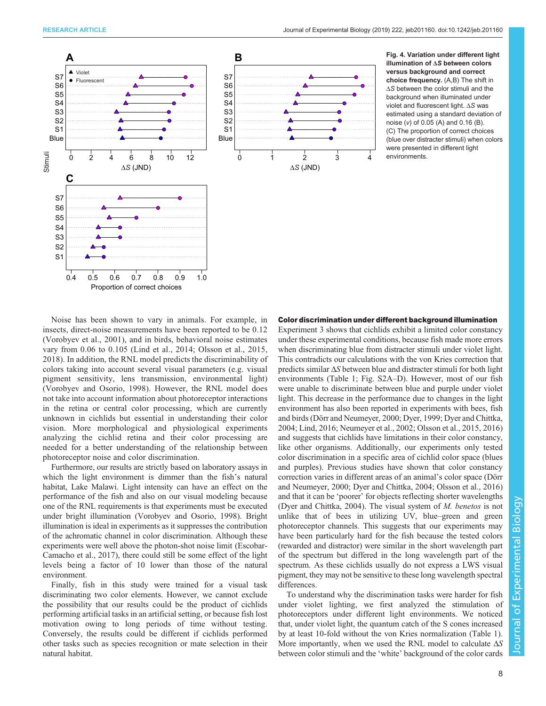<span id="page-7-0"></span>

Fig. 4. Variation under different light illumination of ΔS between colors versus background and correct choice frequency. (A,B) The shift in ΔS between the color stimuli and the background when illuminated under violet and fluorescent light. ΔS was estimated using a standard deviation of noise (v) of 0.05 (A) and 0.16 (B). (C) The proportion of correct choices (blue over distracter stimuli) when colors were presented in different light environments.

Noise has been shown to vary in animals. For example, in insects, direct-noise measurements have been reported to be 0.12 [\(Vorobyev et al., 2001\)](#page-10-0), and in birds, behavioral noise estimates vary from 0.06 to 0.105 ([Lind et al., 2014](#page-10-0); [Olsson et al., 2015,](#page-10-0) [2018](#page-10-0)). In addition, the RNL model predicts the discriminability of colors taking into account several visual parameters (e.g. visual pigment sensitivity, lens transmission, environmental light) [\(Vorobyev and Osorio, 1998\)](#page-10-0). However, the RNL model does not take into account information about photoreceptor interactions in the retina or central color processing, which are currently unknown in cichlids but essential in understanding their color vision. More morphological and physiological experiments analyzing the cichlid retina and their color processing are needed for a better understanding of the relationship between photoreceptor noise and color discrimination.

Furthermore, our results are strictly based on laboratory assays in which the light environment is dimmer than the fish's natural habitat, Lake Malawi. Light intensity can have an effect on the performance of the fish and also on our visual modeling because one of the RNL requirements is that experiments must be executed under bright illumination [\(Vorobyev and Osorio, 1998\)](#page-10-0). Bright illumination is ideal in experiments as it suppresses the contribution of the achromatic channel in color discrimination. Although these experiments were well above the photon-shot noise limit ([Escobar-](#page-10-0)[Camacho et al., 2017](#page-10-0)), there could still be some effect of the light levels being a factor of 10 lower than those of the natural environment.

Finally, fish in this study were trained for a visual task discriminating two color elements. However, we cannot exclude the possibility that our results could be the product of cichlids performing artificial tasks in an artificial setting, or because fish lost motivation owing to long periods of time without testing. Conversely, the results could be different if cichlids performed other tasks such as species recognition or mate selection in their natural habitat.

## Color discrimination under different background illumination

Experiment 3 shows that cichlids exhibit a limited color constancy under these experimental conditions, because fish made more errors when discriminating blue from distracter stimuli under violet light. This contradicts our calculations with the von Kries correction that predicts similar ΔS between blue and distracter stimuli for both light environments ([Table 1](#page-3-0); [Fig. S2A](http://jeb.biologists.org/lookup/doi/10.1242/jeb.201160.supplemental)–D). However, most of our fish were unable to discriminate between blue and purple under violet light. This decrease in the performance due to changes in the light environment has also been reported in experiments with bees, fish and birds [\(Dörr and Neumeyer, 2000; Dyer, 1999; Dyer and Chittka,](#page-9-0) [2004;](#page-9-0) [Lind, 2016; Neumeyer et al., 2002](#page-10-0); [Olsson et al., 2015, 2016\)](#page-10-0) and suggests that cichlids have limitations in their color constancy, like other organisms. Additionally, our experiments only tested color discrimination in a specific area of cichlid color space (blues and purples). Previous studies have shown that color constancy correction varies in different areas of an animal's color space [\(Dörr](#page-9-0) [and Neumeyer, 2000; Dyer and Chittka, 2004;](#page-9-0) [Olsson et al., 2016\)](#page-10-0) and that it can be 'poorer' for objects reflecting shorter wavelengths [\(Dyer and Chittka, 2004\)](#page-9-0). The visual system of M. benetos is not unlike that of bees in utilizing UV, blue–green and green photoreceptor channels. This suggests that our experiments may have been particularly hard for the fish because the tested colors (rewarded and distractor) were similar in the short wavelength part of the spectrum but differed in the long wavelength part of the spectrum. As these cichlids usually do not express a LWS visual pigment, they may not be sensitive to these long wavelength spectral differences.

To understand why the discrimination tasks were harder for fish under violet lighting, we first analyzed the stimulation of photoreceptors under different light environments. We noticed that, under violet light, the quantum catch of the S cones increased by at least 10-fold without the von Kries normalization ([Table 1\)](#page-3-0). More importantly, when we used the RNL model to calculate  $\Delta S$ between color stimuli and the 'white' background of the color cards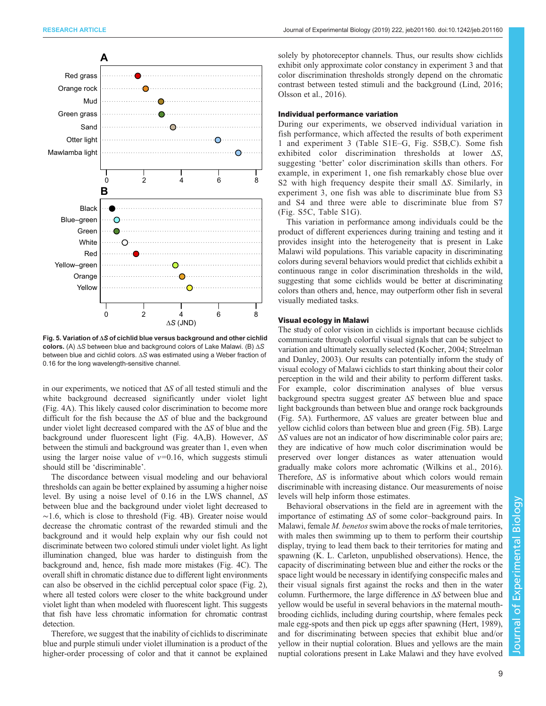<span id="page-8-0"></span>

Fig. 5. Variation of ΔS of cichlid blue versus background and other cichlid colors. (A) ΔS between blue and background colors of Lake Malawi. (B) ΔS between blue and cichlid colors. ΔS was estimated using a Weber fraction of 0.16 for the long wavelength-sensitive channel.

in our experiments, we noticed that  $\Delta S$  of all tested stimuli and the white background decreased significantly under violet light [\(Fig. 4](#page-7-0)A). This likely caused color discrimination to become more difficult for the fish because the  $\Delta S$  of blue and the background under violet light decreased compared with the  $\Delta S$  of blue and the background under fluorescent light ([Fig. 4A](#page-7-0),B). However, ΔS between the stimuli and background was greater than 1, even when using the larger noise value of  $v=0.16$ , which suggests stimuli should still be 'discriminable'.

The discordance between visual modeling and our behavioral thresholds can again be better explained by assuming a higher noise level. By using a noise level of 0.16 in the LWS channel,  $ΔS$ between blue and the background under violet light decreased to ∼1.6, which is close to threshold ([Fig. 4B](#page-7-0)). Greater noise would decrease the chromatic contrast of the rewarded stimuli and the background and it would help explain why our fish could not discriminate between two colored stimuli under violet light. As light illumination changed, blue was harder to distinguish from the background and, hence, fish made more mistakes ([Fig. 4](#page-7-0)C). The overall shift in chromatic distance due to different light environments can also be observed in the cichlid perceptual color space [\(Fig. 2\)](#page-4-0), where all tested colors were closer to the white background under violet light than when modeled with fluorescent light. This suggests that fish have less chromatic information for chromatic contrast detection.

Therefore, we suggest that the inability of cichlids to discriminate blue and purple stimuli under violet illumination is a product of the higher-order processing of color and that it cannot be explained solely by photoreceptor channels. Thus, our results show cichlids exhibit only approximate color constancy in experiment 3 and that color discrimination thresholds strongly depend on the chromatic contrast between tested stimuli and the background ([Lind, 2016](#page-10-0); [Olsson et al., 2016\)](#page-10-0).

### Individual performance variation

During our experiments, we observed individual variation in fish performance, which affected the results of both experiment 1 and experiment 3 ([Table S1E](http://jeb.biologists.org/lookup/doi/10.1242/jeb.201160.supplemental)–G, [Fig. S5B,C\)](http://jeb.biologists.org/lookup/doi/10.1242/jeb.201160.supplemental). Some fish exhibited color discrimination thresholds at lower ΔS, suggesting 'better' color discrimination skills than others. For example, in experiment 1, one fish remarkably chose blue over S2 with high frequency despite their small ΔS. Similarly, in experiment 3, one fish was able to discriminate blue from S3 and S4 and three were able to discriminate blue from S7 [\(Fig. S5C](http://jeb.biologists.org/lookup/doi/10.1242/jeb.201160.supplemental), [Table S1G](http://jeb.biologists.org/lookup/doi/10.1242/jeb.201160.supplemental)).

This variation in performance among individuals could be the product of different experiences during training and testing and it provides insight into the heterogeneity that is present in Lake Malawi wild populations. This variable capacity in discriminating colors during several behaviors would predict that cichlids exhibit a continuous range in color discrimination thresholds in the wild, suggesting that some cichlids would be better at discriminating colors than others and, hence, may outperform other fish in several visually mediated tasks.

## Visual ecology in Malawi

The study of color vision in cichlids is important because cichlids communicate through colorful visual signals that can be subject to variation and ultimately sexually selected ([Kocher, 2004; Streelman](#page-10-0) [and Danley, 2003](#page-10-0)). Our results can potentially inform the study of visual ecology of Malawi cichlids to start thinking about their color perception in the wild and their ability to perform different tasks. For example, color discrimination analyses of blue versus background spectra suggest greater ΔS between blue and space light backgrounds than between blue and orange rock backgrounds (Fig. 5A). Furthermore,  $\Delta S$  values are greater between blue and yellow cichlid colors than between blue and green (Fig. 5B). Large ΔS values are not an indicator of how discriminable color pairs are; they are indicative of how much color discrimination would be preserved over longer distances as water attenuation would gradually make colors more achromatic ([Wilkins et al., 2016\)](#page-10-0). Therefore,  $\Delta S$  is informative about which colors would remain discriminable with increasing distance. Our measurements of noise levels will help inform those estimates.

Behavioral observations in the field are in agreement with the importance of estimating  $\Delta S$  of some color–background pairs. In Malawi, female *M. benetos* swim above the rocks of male territories, with males then swimming up to them to perform their courtship display, trying to lead them back to their territories for mating and spawning (K. L. Carleton, unpublished observations). Hence, the capacity of discriminating between blue and either the rocks or the space light would be necessary in identifying conspecific males and their visual signals first against the rocks and then in the water column. Furthermore, the large difference in ΔS between blue and yellow would be useful in several behaviors in the maternal mouthbrooding cichlids, including during courtship, where females peck male egg-spots and then pick up eggs after spawning [\(Hert, 1989\)](#page-10-0), and for discriminating between species that exhibit blue and/or yellow in their nuptial coloration. Blues and yellows are the main nuptial colorations present in Lake Malawi and they have evolved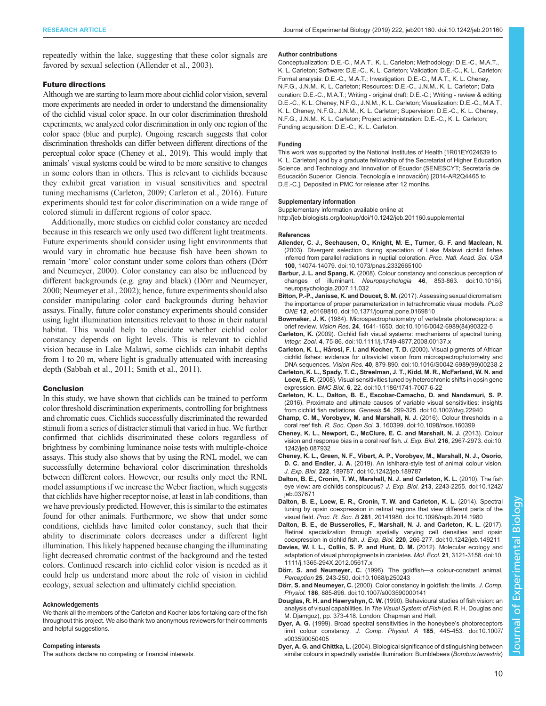<span id="page-9-0"></span>repeatedly within the lake, suggesting that these color signals are favored by sexual selection (Allender et al., 2003).

# Future directions

Although we are starting to learn more about cichlid color vision, several more experiments are needed in order to understand the dimensionality of the cichlid visual color space. In our color discrimination threshold experiments, we analyzed color discrimination in only one region of the color space (blue and purple). Ongoing research suggests that color discrimination thresholds can differ between different directions of the perceptual color space (Cheney et al., 2019). This would imply that animals' visual systems could be wired to be more sensitive to changes in some colors than in others. This is relevant to cichlids because they exhibit great variation in visual sensitivities and spectral tuning mechanisms (Carleton, 2009; Carleton et al., 2016). Future experiments should test for color discrimination on a wide range of colored stimuli in different regions of color space.

Additionally, more studies on cichlid color constancy are needed because in this research we only used two different light treatments. Future experiments should consider using light environments that would vary in chromatic hue because fish have been shown to remain 'more' color constant under some colors than others (Dörr and Neumeyer, 2000). Color constancy can also be influenced by different backgrounds (e.g. gray and black) (Dörr and Neumeyer, 2000; [Neumeyer et al., 2002\)](#page-10-0); hence, future experiments should also consider manipulating color card backgrounds during behavior assays. Finally, future color constancy experiments should consider using light illumination intensities relevant to those in their natural habitat. This would help to elucidate whether cichlid color constancy depends on light levels. This is relevant to cichlid vision because in Lake Malawi, some cichlids can inhabit depths from 1 to 20 m, where light is gradually attenuated with increasing depth ([Sabbah et al., 2011; Smith et al., 2011\)](#page-10-0).

## Conclusion

In this study, we have shown that cichlids can be trained to perform color threshold discrimination experiments, controlling for brightness and chromatic cues. Cichlids successfully discriminated the rewarded stimuli from a series of distracter stimuli that varied in hue. We further confirmed that cichlids discriminated these colors regardless of brightness by combining luminance noise tests with multiple-choice assays. This study also shows that by using the RNL model, we can successfully determine behavioral color discrimination thresholds between different colors. However, our results only meet the RNL model assumptions if we increase the Weber fraction, which suggests that cichlids have higher receptor noise, at least in lab conditions, than we have previously predicted. However, this is similar to the estimates found for other animals. Furthermore, we show that under some conditions, cichlids have limited color constancy, such that their ability to discriminate colors decreases under a different light illumination. This likely happened because changing the illuminating light decreased chromatic contrast of the background and the tested colors. Continued research into cichlid color vision is needed as it could help us understand more about the role of vision in cichlid ecology, sexual selection and ultimately cichlid speciation.

#### Acknowledgements

We thank all the members of the Carleton and Kocher labs for taking care of the fish throughout this project. We also thank two anonymous reviewers for their comments and helpful suggestions.

#### Competing interests

The authors declare no competing or financial interests.

#### Author contributions

Conceptualization: D.E.-C., M.A.T., K. L. Carleton; Methodology: D.E.-C., M.A.T., K. L. Carleton; Software: D.E.-C., K. L. Carleton; Validation: D.E.-C., K. L. Carleton; Formal analysis: D.E.-C., M.A.T.; Investigation: D.E.-C., M.A.T., K. L. Cheney, N.F.G., J.N.M., K. L. Carleton; Resources: D.E.-C., J.N.M., K. L. Carleton; Data curation: D.E.-C., M.A.T.; Writing - original draft: D.E.-C.; Writing - review & editing: D.E.-C., K. L. Cheney, N.F.G., J.N.M., K. L. Carleton; Visualization: D.E.-C., M.A.T., K. L. Cheney, N.F.G., J.N.M., K. L. Carleton; Supervision: D.E.-C., K. L. Cheney, N.F.G., J.N.M., K. L. Carleton; Project administration: D.E.-C., K. L. Carleton; Funding acquisition: D.E.-C., K. L. Carleton.

#### Funding

This work was supported by the National Institutes of Health [1R01EY024639 to K. L. Carleton] and by a graduate fellowship of the Secretariat of Higher Education, Science, and Technology and Innovation of Ecuador (SENESCYT; Secretaría de Educación Superior, Ciencia, Tecnología e Innovación) [2014-AR2Q4465 to D.E.-C.]. Deposited in PMC for release after 12 months.

#### Supplementary information

Supplementary information available online at <http://jeb.biologists.org/lookup/doi/10.1242/jeb.201160.supplemental>

#### References

- [Allender, C. J., Seehausen, O., Knight, M. E., Turner, G. F. and Maclean, N.](https://doi.org/10.1073/pnas.2332665100) [\(2003\). Divergent selection during speciation of Lake Malawi cichlid fishes](https://doi.org/10.1073/pnas.2332665100) [inferred from parallel radiations in nuptial coloration.](https://doi.org/10.1073/pnas.2332665100) Proc. Natl. Acad. Sci. USA 100[, 14074-14079. doi:10.1073/pnas.2332665100](https://doi.org/10.1073/pnas.2332665100)
- Barbur, J. L. and Spang, K. [\(2008\). Colour constancy and conscious perception of](https://doi.org/10.1016/j.neuropsychologia.2007.11.032) changes of illuminant. Neuropsychologia 46[, 853-863. doi:10.1016/j.](https://doi.org/10.1016/j.neuropsychologia.2007.11.032) [neuropsychologia.2007.11.032](https://doi.org/10.1016/j.neuropsychologia.2007.11.032)
- [Bitton, P.-P., Janisse, K. and Doucet, S. M.](https://doi.org/10.1371/journal.pone.0169810) (2017). Assessing sexual dicromatism: [the importance of proper parameterization in tetrachromatic visual models.](https://doi.org/10.1371/journal.pone.0169810) PLoS ONE 12[, e0169810. doi:10.1371/journal.pone.0169810](https://doi.org/10.1371/journal.pone.0169810)
- Bowmaker, J. K. [\(1984\). Microspectrophotometry of vertebrate photoreceptors: a](https://doi.org/10.1016/0042-6989(84)90322-5) brief review. Vision Res. 24[, 1641-1650. doi:10.1016/0042-6989\(84\)90322-5](https://doi.org/10.1016/0042-6989(84)90322-5)
- Carleton, K. [\(2009\). Cichlid fish visual systems: mechanisms of spectral tuning.](https://doi.org/10.1111/j.1749-4877.2008.00137.x) Integr. Zool. 4[, 75-86. doi:10.1111/j.1749-4877.2008.00137.x](https://doi.org/10.1111/j.1749-4877.2008.00137.x)
- Carleton, K. L., Hárosi, F. I. and Kocher, T. D. [\(2000\). Visual pigments of African](https://doi.org/10.1016/S0042-6989(99)00238-2) [cichlid fishes: evidence for ultraviolet vision from microspectrophotometry and](https://doi.org/10.1016/S0042-6989(99)00238-2) DNA sequences. Vision Res. 40[, 879-890. doi:10.1016/S0042-6989\(99\)00238-2](https://doi.org/10.1016/S0042-6989(99)00238-2)
- [Carleton, K. L., Spady, T. C., Streelman, J. T., Kidd, M. R., McFarland, W. N. and](https://doi.org/10.1186/1741-7007-6-22) Loew, E. R. [\(2008\). Visual sensitivities tuned by heterochronic shifts in opsin gene](https://doi.org/10.1186/1741-7007-6-22) expression. BMC Biol. 6[, 22. doi:10.1186/1741-7007-6-22](https://doi.org/10.1186/1741-7007-6-22)
- [Carleton, K. L., Dalton, B. E., Escobar-Camacho, D. and Nandamuri, S. P.](https://doi.org/10.1002/dvg.22940) [\(2016\). Proximate and ultimate causes of variable visual sensitivities: insights](https://doi.org/10.1002/dvg.22940) from cichlid fish radiations. Genesis 54[, 299-325. doi:10.1002/dvg.22940](https://doi.org/10.1002/dvg.22940)
- [Champ, C. M., Vorobyev, M. and Marshall, N. J.](https://doi.org/10.1098/rsos.160399) (2016). Colour thresholds in a coral reef fish. R. Soc. Open Sci. 3[, 160399. doi:10.1098/rsos.160399](https://doi.org/10.1098/rsos.160399)
- [Cheney, K. L., Newport, C., McClure, E. C. and Marshall, N. J.](https://doi.org/10.1242/jeb.087932) (2013). Colour [vision and response bias in a coral reef fish.](https://doi.org/10.1242/jeb.087932) J. Exp. Biol. 216, 2967-2973. doi:10. [1242/jeb.087932](https://doi.org/10.1242/jeb.087932)
- [Cheney, K. L., Green, N. F., Vibert, A. P., Vorobyev, M., Marshall, N. J., Osorio,](https://doi.org/10.1242/jeb.189787) D. C. and Endler, J. A. [\(2019\). An Ishihara-style test of animal colour vision.](https://doi.org/10.1242/jeb.189787) J. Exp. Biol. 222[, 189787. doi:10.1242/jeb.189787](https://doi.org/10.1242/jeb.189787)
- [Dalton, B. E., Cronin, T. W., Marshall, N. J. and Carleton, K. L.](https://doi.org/10.1242/jeb.037671) (2010). The fish [eye view: are cichlids conspicuous?](https://doi.org/10.1242/jeb.037671) J. Exp. Biol. 213, 2243-2255. doi:10.1242/ [jeb.037671](https://doi.org/10.1242/jeb.037671)
- [Dalton, B. E., Loew, E. R., Cronin, T. W. and Carleton, K. L.](https://doi.org/10.1098/rspb.2014.1980) (2014). Spectral [tuning by opsin coexpression in retinal regions that view different parts of the](https://doi.org/10.1098/rspb.2014.1980) visual field. Proc. R. Soc. B 281[, 20141980. doi:10.1098/rspb.2014.1980](https://doi.org/10.1098/rspb.2014.1980)
- [Dalton, B. E., de Busserolles, F., Marshall, N. J. and Carleton, K. L.](https://doi.org/10.1242/jeb.149211) (2017). [Retinal specialization through spatially varying cell densities and opsin](https://doi.org/10.1242/jeb.149211) coexpression in cichlid fish. J. Exp. Biol. 220[, 266-277. doi:10.1242/jeb.149211](https://doi.org/10.1242/jeb.149211)
- [Davies, W. I. L., Collin, S. P. and Hunt, D. M.](https://doi.org/10.1111/j.1365-294X.2012.05617.x) (2012). Molecular ecology and [adaptation of visual photopigments in craniates.](https://doi.org/10.1111/j.1365-294X.2012.05617.x) Mol. Ecol. 21, 3121-3158. doi:10. [1111/j.1365-294X.2012.05617.x](https://doi.org/10.1111/j.1365-294X.2012.05617.x)
- Dö[rr, S. and Neumeyer, C.](https://doi.org/10.1068/p250243) (1996). The goldfish-a colour-constant animal. Perception 25[, 243-250. doi:10.1068/p250243](https://doi.org/10.1068/p250243)
- Dörr, S. and Neumeyer, C. [\(2000\). Color constancy in goldfish: the limits.](https://doi.org/10.1007/s003590000141) J. Comp. Physiol. 186[, 885-896. doi:10.1007/s003590000141](https://doi.org/10.1007/s003590000141)
- Douglas, R. H. and Hawryshyn, C. W. (1990). Behavioural studies of fish vision: an analysis of visual capabilities. In The Visual System of Fish (ed. R. H. Douglas and M. Djamgoz), pp. 373-418. London: Chapman and Hall.
- Dyer, A. G. [\(1999\). Broad spectral sensitivities in the honeybee](https://doi.org/10.1007/s003590050405)'s photoreceptors limit colour constancy. J. Comp. Physiol. A 185[, 445-453. doi:10.1007/](https://doi.org/10.1007/s003590050405) [s003590050405](https://doi.org/10.1007/s003590050405)
- Dyer, A. G. and Chittka, L. [\(2004\). Biological significance of distinguishing between](https://doi.org/10.1007/s00359-003-0475-2) [similar colours in spectrally variable illumination: Bumblebees \(](https://doi.org/10.1007/s00359-003-0475-2)Bombus terrestris)